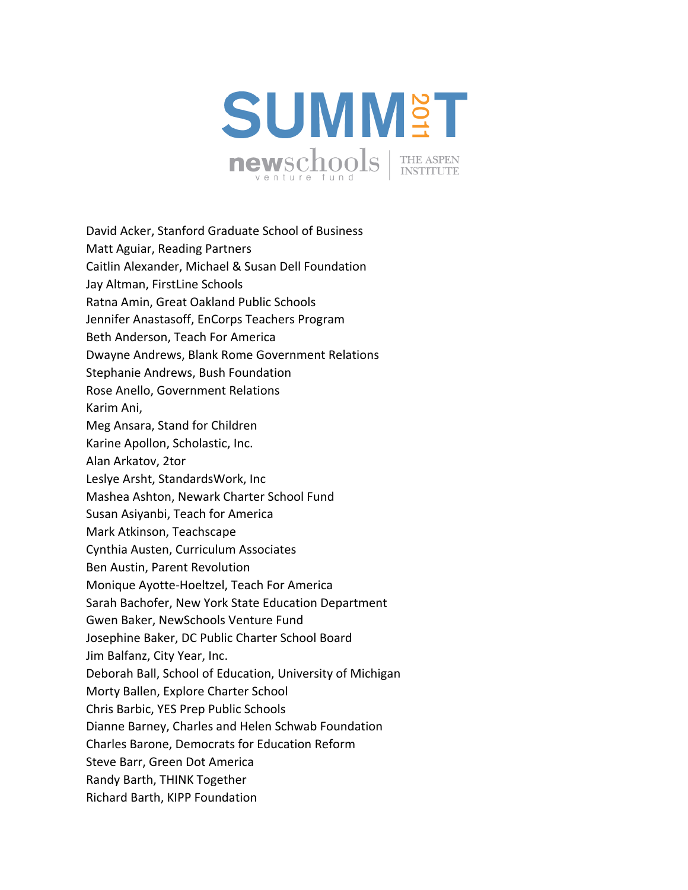

David Acker, Stanford Graduate School of Business Matt Aguiar, Reading Partners Caitlin Alexander, Michael & Susan Dell Foundation Jay Altman, FirstLine Schools Ratna Amin, Great Oakland Public Schools Jennifer Anastasoff, EnCorps Teachers Program Beth Anderson, Teach For America Dwayne Andrews, Blank Rome Government Relations Stephanie Andrews, Bush Foundation Rose Anello, Government Relations Karim Ani, Meg Ansara, Stand for Children Karine Apollon, Scholastic, Inc. Alan Arkatov, 2tor Leslye Arsht, StandardsWork, Inc Mashea Ashton, Newark Charter School Fund Susan Asiyanbi, Teach for America Mark Atkinson, Teachscape Cynthia Austen, Curriculum Associates Ben Austin, Parent Revolution Monique Ayotte‐Hoeltzel, Teach For America Sarah Bachofer, New York State Education Department Gwen Baker, NewSchools Venture Fund Josephine Baker, DC Public Charter School Board Jim Balfanz, City Year, Inc. Deborah Ball, School of Education, University of Michigan Morty Ballen, Explore Charter School Chris Barbic, YES Prep Public Schools Dianne Barney, Charles and Helen Schwab Foundation Charles Barone, Democrats for Education Reform Steve Barr, Green Dot America Randy Barth, THINK Together Richard Barth, KIPP Foundation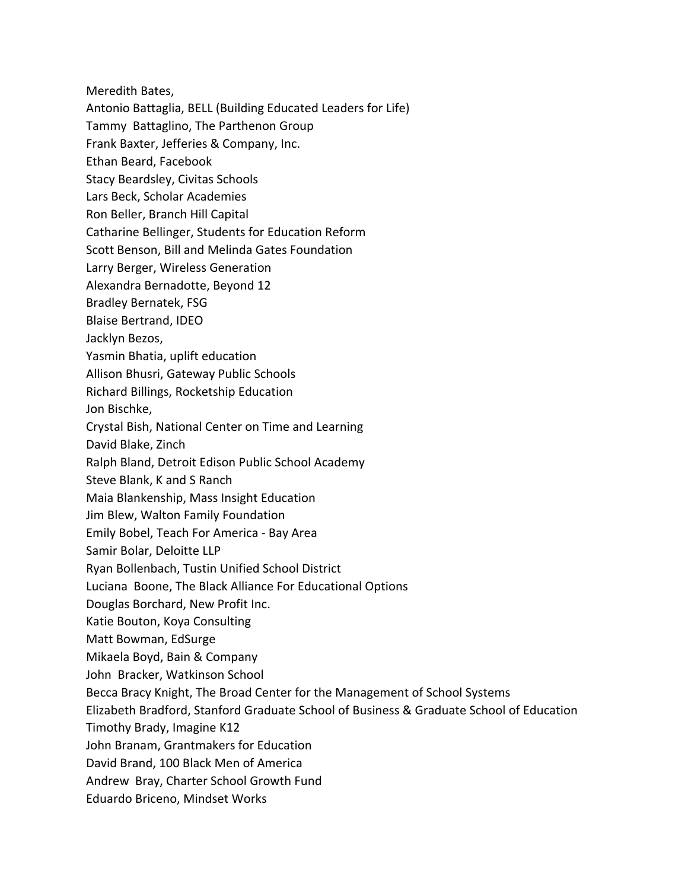Meredith Bates,

Antonio Battaglia, BELL (Building Educated Leaders for Life)

Tammy Battaglino, The Parthenon Group

Frank Baxter, Jefferies & Company, Inc.

Ethan Beard, Facebook

Stacy Beardsley, Civitas Schools

Lars Beck, Scholar Academies

Ron Beller, Branch Hill Capital

Catharine Bellinger, Students for Education Reform

Scott Benson, Bill and Melinda Gates Foundation

Larry Berger, Wireless Generation

Alexandra Bernadotte, Beyond 12

Bradley Bernatek, FSG

Blaise Bertrand, IDEO

Jacklyn Bezos,

Yasmin Bhatia, uplift education

Allison Bhusri, Gateway Public Schools

Richard Billings, Rocketship Education

Jon Bischke,

Crystal Bish, National Center on Time and Learning

David Blake, Zinch

Ralph Bland, Detroit Edison Public School Academy

Steve Blank, K and S Ranch

Maia Blankenship, Mass Insight Education

Jim Blew, Walton Family Foundation

Emily Bobel, Teach For America ‐ Bay Area

Samir Bolar, Deloitte LLP

Ryan Bollenbach, Tustin Unified School District

Luciana Boone, The Black Alliance For Educational Options

Douglas Borchard, New Profit Inc.

Katie Bouton, Koya Consulting

Matt Bowman, EdSurge

Mikaela Boyd, Bain & Company

John Bracker, Watkinson School

Becca Bracy Knight, The Broad Center for the Management of School Systems

Elizabeth Bradford, Stanford Graduate School of Business & Graduate School of Education

Timothy Brady, Imagine K12

John Branam, Grantmakers for Education

David Brand, 100 Black Men of America

Andrew Bray, Charter School Growth Fund

Eduardo Briceno, Mindset Works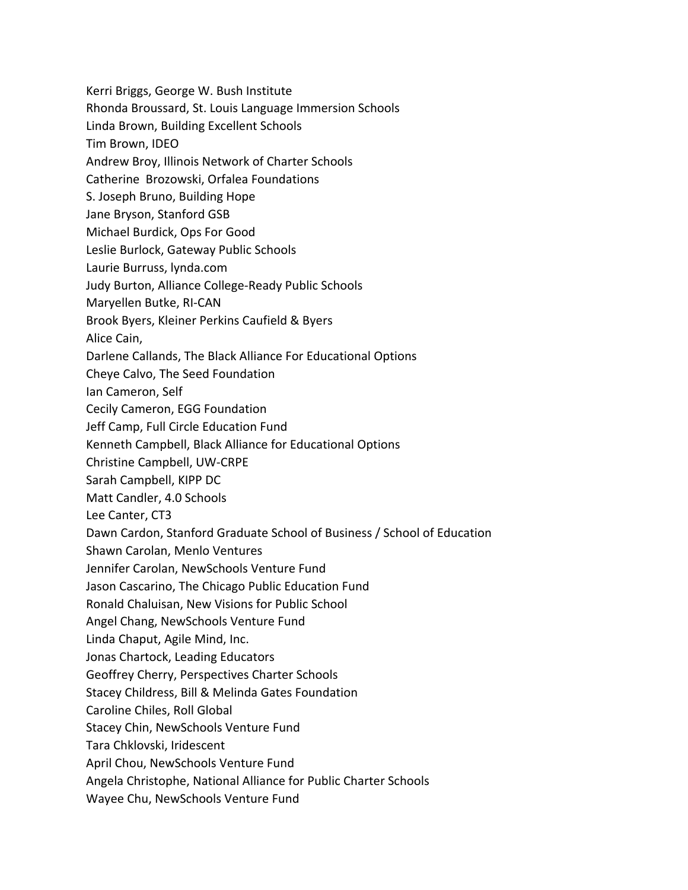Kerri Briggs, George W. Bush Institute Rhonda Broussard, St. Louis Language Immersion Schools Linda Brown, Building Excellent Schools Tim Brown, IDEO Andrew Broy, Illinois Network of Charter Schools Catherine Brozowski, Orfalea Foundations S. Joseph Bruno, Building Hope Jane Bryson, Stanford GSB Michael Burdick, Ops For Good Leslie Burlock, Gateway Public Schools Laurie Burruss, lynda.com Judy Burton, Alliance College‐Ready Public Schools Maryellen Butke, RI‐CAN Brook Byers, Kleiner Perkins Caufield & Byers Alice Cain, Darlene Callands, The Black Alliance For Educational Options Cheye Calvo, The Seed Foundation Ian Cameron, Self Cecily Cameron, EGG Foundation Jeff Camp, Full Circle Education Fund Kenneth Campbell, Black Alliance for Educational Options Christine Campbell, UW‐CRPE Sarah Campbell, KIPP DC Matt Candler, 4.0 Schools Lee Canter, CT3 Dawn Cardon, Stanford Graduate School of Business / School of Education Shawn Carolan, Menlo Ventures Jennifer Carolan, NewSchools Venture Fund Jason Cascarino, The Chicago Public Education Fund Ronald Chaluisan, New Visions for Public School Angel Chang, NewSchools Venture Fund Linda Chaput, Agile Mind, Inc. Jonas Chartock, Leading Educators Geoffrey Cherry, Perspectives Charter Schools Stacey Childress, Bill & Melinda Gates Foundation Caroline Chiles, Roll Global Stacey Chin, NewSchools Venture Fund Tara Chklovski, Iridescent April Chou, NewSchools Venture Fund Angela Christophe, National Alliance for Public Charter Schools Wayee Chu, NewSchools Venture Fund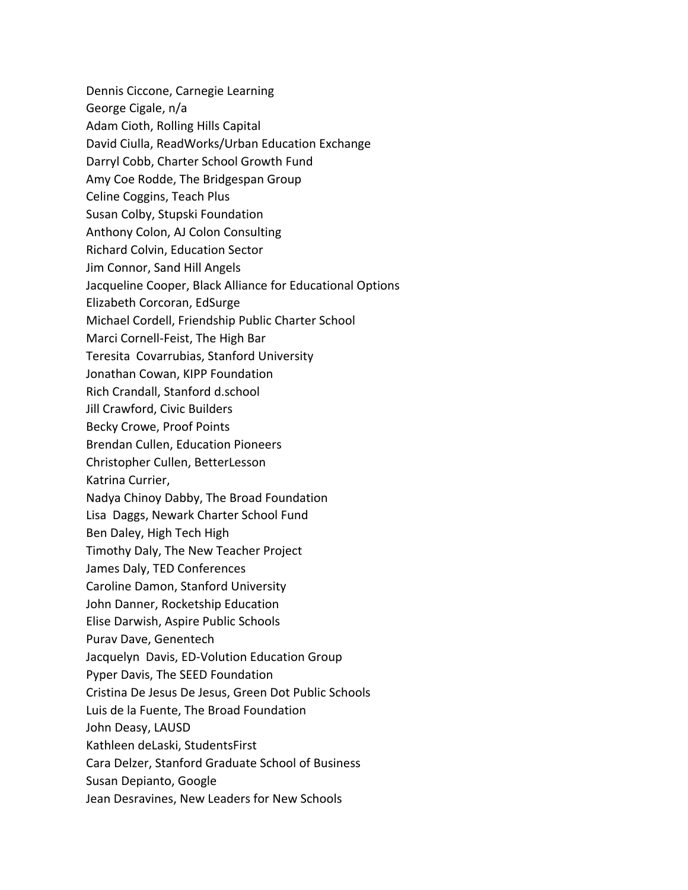Dennis Ciccone, Carnegie Learning George Cigale, n/a Adam Cioth, Rolling Hills Capital David Ciulla, ReadWorks/Urban Education Exchange Darryl Cobb, Charter School Growth Fund Amy Coe Rodde, The Bridgespan Group Celine Coggins, Teach Plus Susan Colby, Stupski Foundation Anthony Colon, AJ Colon Consulting Richard Colvin, Education Sector Jim Connor, Sand Hill Angels Jacqueline Cooper, Black Alliance for Educational Options Elizabeth Corcoran, EdSurge Michael Cordell, Friendship Public Charter School Marci Cornell‐Feist, The High Bar Teresita Covarrubias, Stanford University Jonathan Cowan, KIPP Foundation Rich Crandall, Stanford d.school Jill Crawford, Civic Builders Becky Crowe, Proof Points Brendan Cullen, Education Pioneers Christopher Cullen, BetterLesson Katrina Currier, Nadya Chinoy Dabby, The Broad Foundation Lisa Daggs, Newark Charter School Fund Ben Daley, High Tech High Timothy Daly, The New Teacher Project James Daly, TED Conferences Caroline Damon, Stanford University John Danner, Rocketship Education Elise Darwish, Aspire Public Schools Purav Dave, Genentech Jacquelyn Davis, ED‐Volution Education Group Pyper Davis, The SEED Foundation Cristina De Jesus De Jesus, Green Dot Public Schools Luis de la Fuente, The Broad Foundation John Deasy, LAUSD Kathleen deLaski, StudentsFirst Cara Delzer, Stanford Graduate School of Business Susan Depianto, Google Jean Desravines, New Leaders for New Schools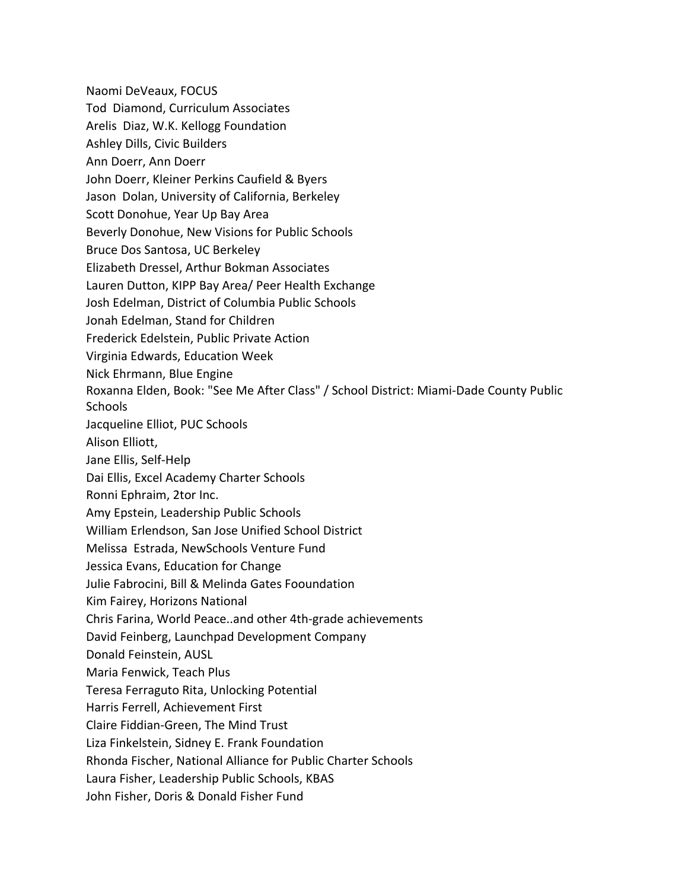Naomi DeVeaux, FOCUS Tod Diamond, Curriculum Associates Arelis Diaz, W.K. Kellogg Foundation Ashley Dills, Civic Builders Ann Doerr, Ann Doerr John Doerr, Kleiner Perkins Caufield & Byers Jason Dolan, University of California, Berkeley Scott Donohue, Year Up Bay Area Beverly Donohue, New Visions for Public Schools Bruce Dos Santosa, UC Berkeley Elizabeth Dressel, Arthur Bokman Associates Lauren Dutton, KIPP Bay Area/ Peer Health Exchange Josh Edelman, District of Columbia Public Schools Jonah Edelman, Stand for Children Frederick Edelstein, Public Private Action Virginia Edwards, Education Week Nick Ehrmann, Blue Engine Roxanna Elden, Book: "See Me After Class" / School District: Miami‐Dade County Public **Schools** Jacqueline Elliot, PUC Schools Alison Elliott, Jane Ellis, Self‐Help Dai Ellis, Excel Academy Charter Schools Ronni Ephraim, 2tor Inc. Amy Epstein, Leadership Public Schools William Erlendson, San Jose Unified School District Melissa Estrada, NewSchools Venture Fund Jessica Evans, Education for Change Julie Fabrocini, Bill & Melinda Gates Fooundation Kim Fairey, Horizons National Chris Farina, World Peace..and other 4th‐grade achievements David Feinberg, Launchpad Development Company Donald Feinstein, AUSL Maria Fenwick, Teach Plus Teresa Ferraguto Rita, Unlocking Potential Harris Ferrell, Achievement First Claire Fiddian‐Green, The Mind Trust Liza Finkelstein, Sidney E. Frank Foundation Rhonda Fischer, National Alliance for Public Charter Schools Laura Fisher, Leadership Public Schools, KBAS John Fisher, Doris & Donald Fisher Fund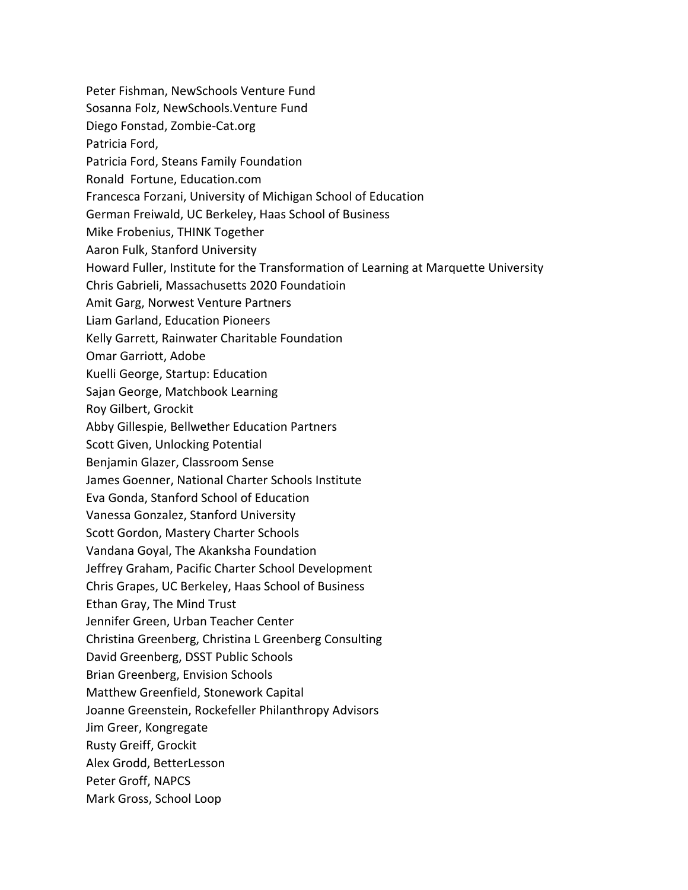Peter Fishman, NewSchools Venture Fund Sosanna Folz, NewSchools.Venture Fund Diego Fonstad, Zombie‐Cat.org Patricia Ford, Patricia Ford, Steans Family Foundation Ronald Fortune, Education.com Francesca Forzani, University of Michigan School of Education German Freiwald, UC Berkeley, Haas School of Business Mike Frobenius, THINK Together Aaron Fulk, Stanford University Howard Fuller, Institute for the Transformation of Learning at Marquette University Chris Gabrieli, Massachusetts 2020 Foundatioin Amit Garg, Norwest Venture Partners Liam Garland, Education Pioneers Kelly Garrett, Rainwater Charitable Foundation Omar Garriott, Adobe Kuelli George, Startup: Education Sajan George, Matchbook Learning Roy Gilbert, Grockit Abby Gillespie, Bellwether Education Partners Scott Given, Unlocking Potential Benjamin Glazer, Classroom Sense James Goenner, National Charter Schools Institute Eva Gonda, Stanford School of Education Vanessa Gonzalez, Stanford University Scott Gordon, Mastery Charter Schools Vandana Goyal, The Akanksha Foundation Jeffrey Graham, Pacific Charter School Development Chris Grapes, UC Berkeley, Haas School of Business Ethan Gray, The Mind Trust Jennifer Green, Urban Teacher Center Christina Greenberg, Christina L Greenberg Consulting David Greenberg, DSST Public Schools Brian Greenberg, Envision Schools Matthew Greenfield, Stonework Capital Joanne Greenstein, Rockefeller Philanthropy Advisors Jim Greer, Kongregate Rusty Greiff, Grockit Alex Grodd, BetterLesson Peter Groff, NAPCS Mark Gross, School Loop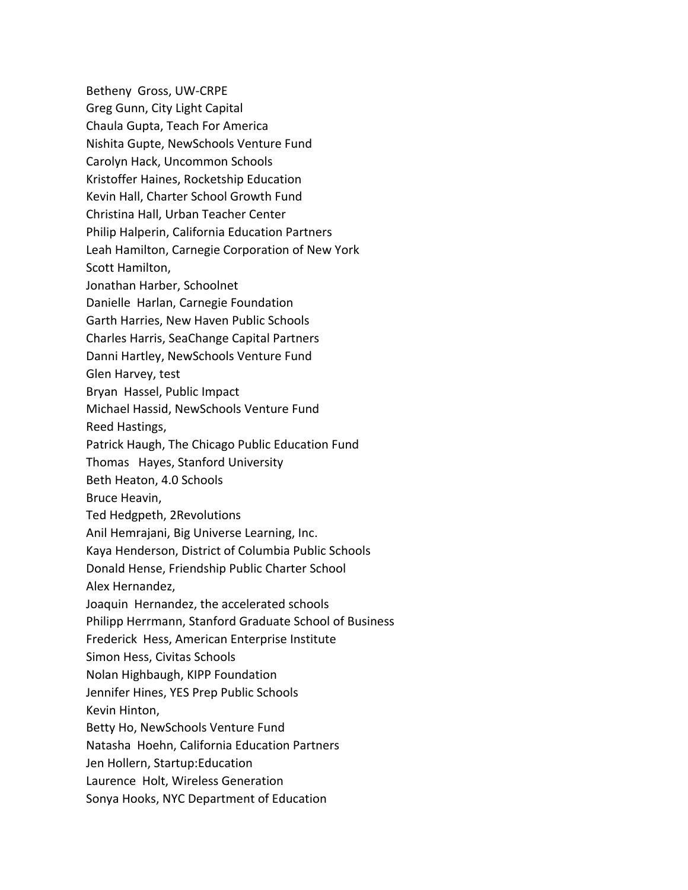Betheny Gross, UW‐CRPE Greg Gunn, City Light Capital Chaula Gupta, Teach For America Nishita Gupte, NewSchools Venture Fund Carolyn Hack, Uncommon Schools Kristoffer Haines, Rocketship Education Kevin Hall, Charter School Growth Fund Christina Hall, Urban Teacher Center Philip Halperin, California Education Partners Leah Hamilton, Carnegie Corporation of New York Scott Hamilton, Jonathan Harber, Schoolnet Danielle Harlan, Carnegie Foundation Garth Harries, New Haven Public Schools Charles Harris, SeaChange Capital Partners Danni Hartley, NewSchools Venture Fund Glen Harvey, test Bryan Hassel, Public Impact Michael Hassid, NewSchools Venture Fund Reed Hastings, Patrick Haugh, The Chicago Public Education Fund Thomas Hayes, Stanford University Beth Heaton, 4.0 Schools Bruce Heavin, Ted Hedgpeth, 2Revolutions Anil Hemrajani, Big Universe Learning, Inc. Kaya Henderson, District of Columbia Public Schools Donald Hense, Friendship Public Charter School Alex Hernandez, Joaquin Hernandez, the accelerated schools Philipp Herrmann, Stanford Graduate School of Business Frederick Hess, American Enterprise Institute Simon Hess, Civitas Schools Nolan Highbaugh, KIPP Foundation Jennifer Hines, YES Prep Public Schools Kevin Hinton, Betty Ho, NewSchools Venture Fund Natasha Hoehn, California Education Partners Jen Hollern, Startup:Education Laurence Holt, Wireless Generation Sonya Hooks, NYC Department of Education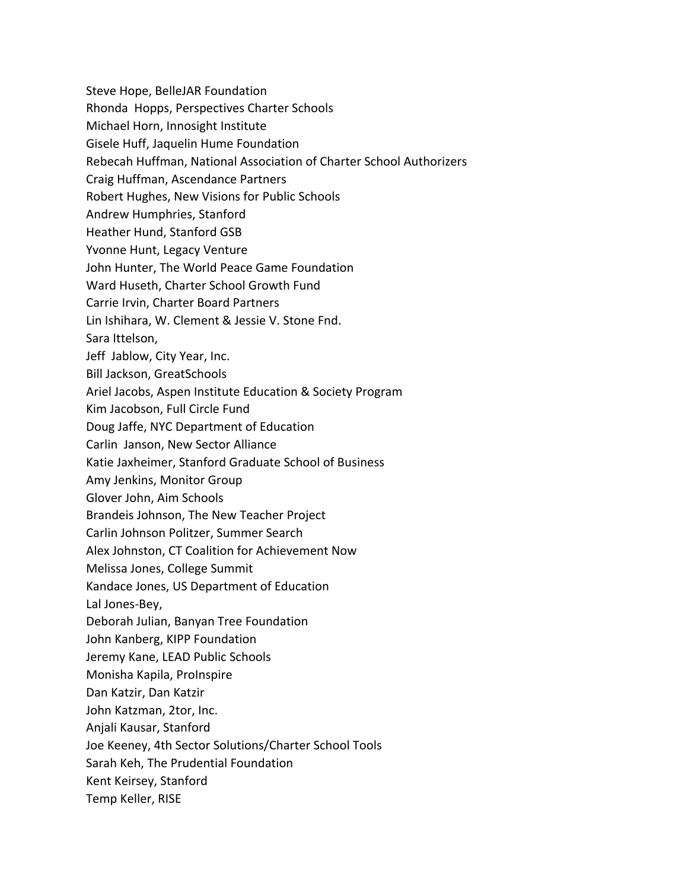Steve Hope, BelleJAR Foundation Rhonda Hopps, Perspectives Charter Schools Michael Horn, Innosight Institute Gisele Huff, Jaquelin Hume Foundation Rebecah Huffman, National Association of Charter School Authorizers Craig Huffman, Ascendance Partners Robert Hughes, New Visions for Public Schools Andrew Humphries, Stanford Heather Hund, Stanford GSB Yvonne Hunt, Legacy Venture John Hunter, The World Peace Game Foundation Ward Huseth, Charter School Growth Fund Carrie Irvin, Charter Board Partners Lin Ishihara, W. Clement & Jessie V. Stone Fnd. Sara Ittelson, Jeff Jablow, City Year, Inc. Bill Jackson, GreatSchools Ariel Jacobs, Aspen Institute Education & Society Program Kim Jacobson, Full Circle Fund Doug Jaffe, NYC Department of Education Carlin Janson, New Sector Alliance Katie Jaxheimer, Stanford Graduate School of Business Amy Jenkins, Monitor Group Glover John, Aim Schools Brandeis Johnson, The New Teacher Project Carlin Johnson Politzer, Summer Search Alex Johnston, CT Coalition for Achievement Now Melissa Jones, College Summit Kandace Jones, US Department of Education Lal Jones‐Bey, Deborah Julian, Banyan Tree Foundation John Kanberg, KIPP Foundation Jeremy Kane, LEAD Public Schools Monisha Kapila, ProInspire Dan Katzir, Dan Katzir John Katzman, 2tor, Inc. Anjali Kausar, Stanford Joe Keeney, 4th Sector Solutions/Charter School Tools Sarah Keh, The Prudential Foundation Kent Keirsey, Stanford Temp Keller, RISE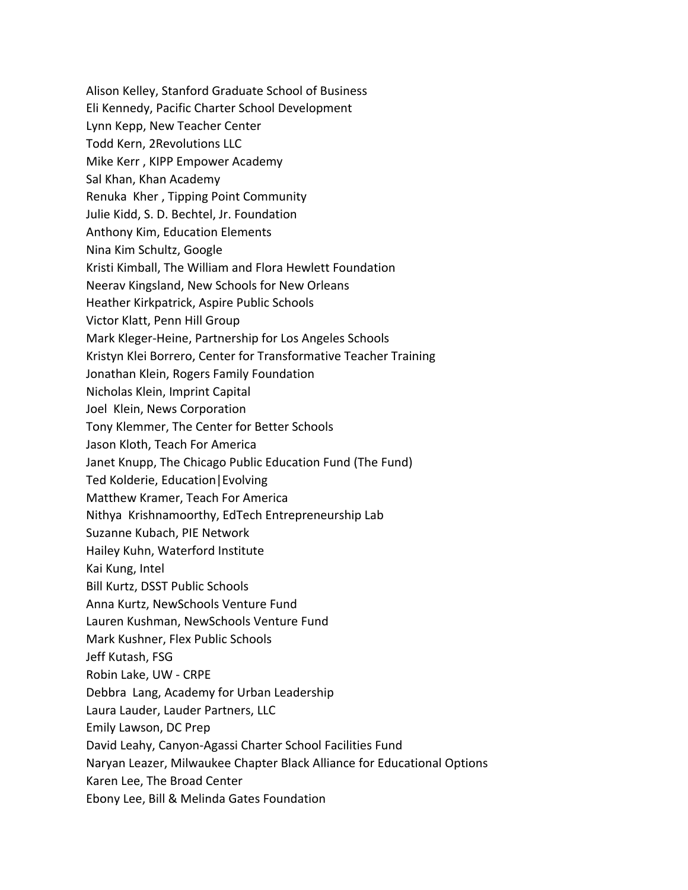Alison Kelley, Stanford Graduate School of Business Eli Kennedy, Pacific Charter School Development Lynn Kepp, New Teacher Center Todd Kern, 2Revolutions LLC Mike Kerr , KIPP Empower Academy Sal Khan, Khan Academy Renuka Kher , Tipping Point Community Julie Kidd, S. D. Bechtel, Jr. Foundation Anthony Kim, Education Elements Nina Kim Schultz, Google Kristi Kimball, The William and Flora Hewlett Foundation Neerav Kingsland, New Schools for New Orleans Heather Kirkpatrick, Aspire Public Schools Victor Klatt, Penn Hill Group Mark Kleger‐Heine, Partnership for Los Angeles Schools Kristyn Klei Borrero, Center for Transformative Teacher Training Jonathan Klein, Rogers Family Foundation Nicholas Klein, Imprint Capital Joel Klein, News Corporation Tony Klemmer, The Center for Better Schools Jason Kloth, Teach For America Janet Knupp, The Chicago Public Education Fund (The Fund) Ted Kolderie, Education|Evolving Matthew Kramer, Teach For America Nithya Krishnamoorthy, EdTech Entrepreneurship Lab Suzanne Kubach, PIE Network Hailey Kuhn, Waterford Institute Kai Kung, Intel Bill Kurtz, DSST Public Schools Anna Kurtz, NewSchools Venture Fund Lauren Kushman, NewSchools Venture Fund Mark Kushner, Flex Public Schools Jeff Kutash, FSG Robin Lake, UW ‐ CRPE Debbra Lang, Academy for Urban Leadership Laura Lauder, Lauder Partners, LLC Emily Lawson, DC Prep David Leahy, Canyon‐Agassi Charter School Facilities Fund Naryan Leazer, Milwaukee Chapter Black Alliance for Educational Options Karen Lee, The Broad Center Ebony Lee, Bill & Melinda Gates Foundation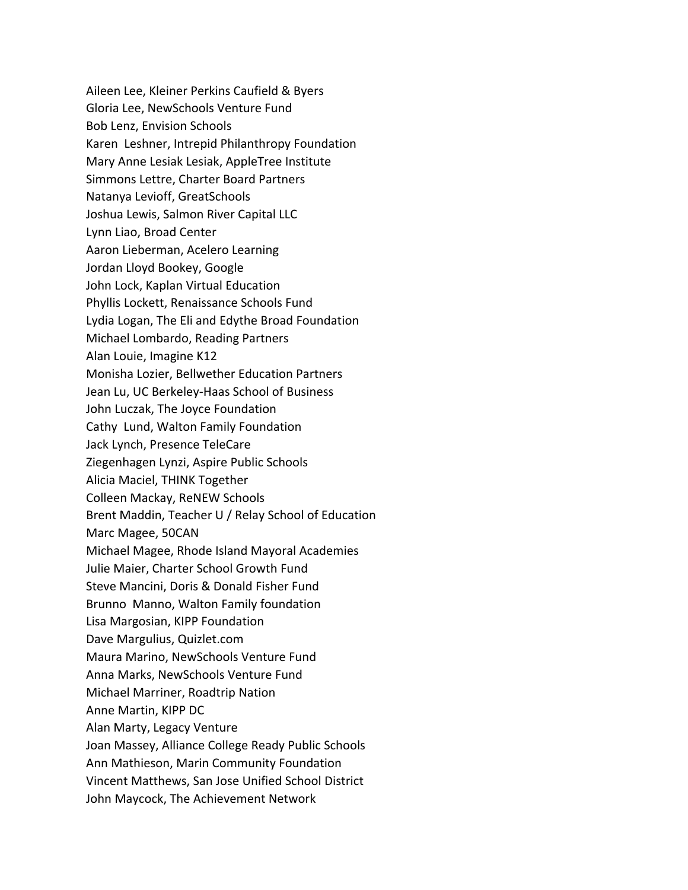Aileen Lee, Kleiner Perkins Caufield & Byers Gloria Lee, NewSchools Venture Fund Bob Lenz, Envision Schools Karen Leshner, Intrepid Philanthropy Foundation Mary Anne Lesiak Lesiak, AppleTree Institute Simmons Lettre, Charter Board Partners Natanya Levioff, GreatSchools Joshua Lewis, Salmon River Capital LLC Lynn Liao, Broad Center Aaron Lieberman, Acelero Learning Jordan Lloyd Bookey, Google John Lock, Kaplan Virtual Education Phyllis Lockett, Renaissance Schools Fund Lydia Logan, The Eli and Edythe Broad Foundation Michael Lombardo, Reading Partners Alan Louie, Imagine K12 Monisha Lozier, Bellwether Education Partners Jean Lu, UC Berkeley‐Haas School of Business John Luczak, The Joyce Foundation Cathy Lund, Walton Family Foundation Jack Lynch, Presence TeleCare Ziegenhagen Lynzi, Aspire Public Schools Alicia Maciel, THINK Together Colleen Mackay, ReNEW Schools Brent Maddin, Teacher U / Relay School of Education Marc Magee, 50CAN Michael Magee, Rhode Island Mayoral Academies Julie Maier, Charter School Growth Fund Steve Mancini, Doris & Donald Fisher Fund Brunno Manno, Walton Family foundation Lisa Margosian, KIPP Foundation Dave Margulius, Quizlet.com Maura Marino, NewSchools Venture Fund Anna Marks, NewSchools Venture Fund Michael Marriner, Roadtrip Nation Anne Martin, KIPP DC Alan Marty, Legacy Venture Joan Massey, Alliance College Ready Public Schools Ann Mathieson, Marin Community Foundation Vincent Matthews, San Jose Unified School District John Maycock, The Achievement Network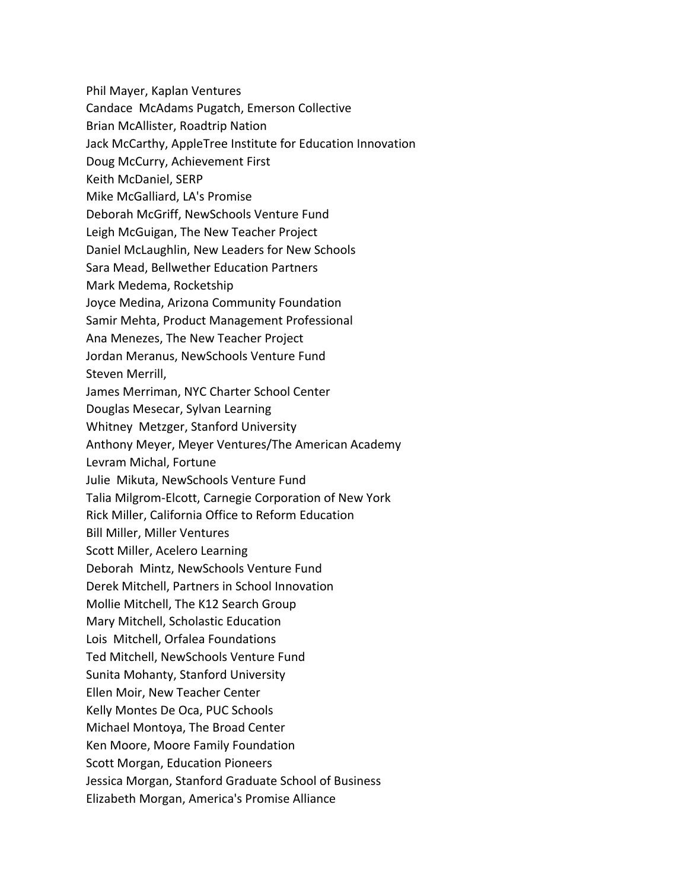Phil Mayer, Kaplan Ventures

Candace McAdams Pugatch, Emerson Collective

Brian McAllister, Roadtrip Nation

Jack McCarthy, AppleTree Institute for Education Innovation

Doug McCurry, Achievement First

Keith McDaniel, SERP

Mike McGalliard, LA's Promise

Deborah McGriff, NewSchools Venture Fund

Leigh McGuigan, The New Teacher Project

Daniel McLaughlin, New Leaders for New Schools

Sara Mead, Bellwether Education Partners

Mark Medema, Rocketship

Joyce Medina, Arizona Community Foundation

Samir Mehta, Product Management Professional

Ana Menezes, The New Teacher Project

Jordan Meranus, NewSchools Venture Fund

Steven Merrill,

James Merriman, NYC Charter School Center

Douglas Mesecar, Sylvan Learning

Whitney Metzger, Stanford University

Anthony Meyer, Meyer Ventures/The American Academy

Levram Michal, Fortune

Julie Mikuta, NewSchools Venture Fund

Talia Milgrom‐Elcott, Carnegie Corporation of New York

Rick Miller, California Office to Reform Education

Bill Miller, Miller Ventures

Scott Miller, Acelero Learning

Deborah Mintz, NewSchools Venture Fund

Derek Mitchell, Partners in School Innovation

Mollie Mitchell, The K12 Search Group

Mary Mitchell, Scholastic Education

Lois Mitchell, Orfalea Foundations

Ted Mitchell, NewSchools Venture Fund

Sunita Mohanty, Stanford University

Ellen Moir, New Teacher Center

Kelly Montes De Oca, PUC Schools

Michael Montoya, The Broad Center

Ken Moore, Moore Family Foundation

Scott Morgan, Education Pioneers

Jessica Morgan, Stanford Graduate School of Business

Elizabeth Morgan, America's Promise Alliance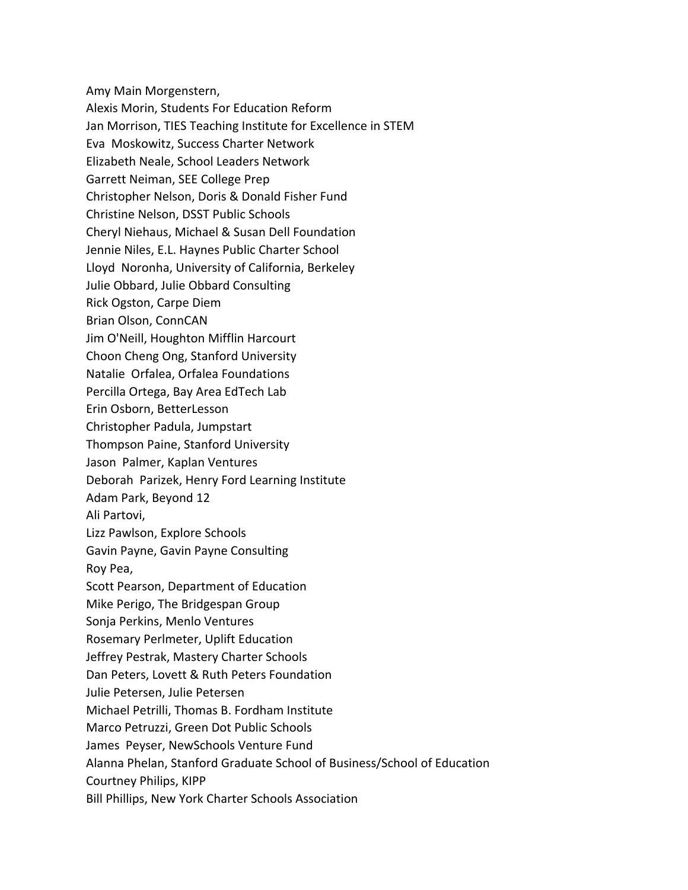Amy Main Morgenstern, Alexis Morin, Students For Education Reform Jan Morrison, TIES Teaching Institute for Excellence in STEM Eva Moskowitz, Success Charter Network Elizabeth Neale, School Leaders Network Garrett Neiman, SEE College Prep Christopher Nelson, Doris & Donald Fisher Fund Christine Nelson, DSST Public Schools Cheryl Niehaus, Michael & Susan Dell Foundation Jennie Niles, E.L. Haynes Public Charter School Lloyd Noronha, University of California, Berkeley Julie Obbard, Julie Obbard Consulting Rick Ogston, Carpe Diem Brian Olson, ConnCAN Jim O'Neill, Houghton Mifflin Harcourt Choon Cheng Ong, Stanford University Natalie Orfalea, Orfalea Foundations Percilla Ortega, Bay Area EdTech Lab Erin Osborn, BetterLesson Christopher Padula, Jumpstart Thompson Paine, Stanford University Jason Palmer, Kaplan Ventures Deborah Parizek, Henry Ford Learning Institute Adam Park, Beyond 12 Ali Partovi, Lizz Pawlson, Explore Schools Gavin Payne, Gavin Payne Consulting Roy Pea, Scott Pearson, Department of Education Mike Perigo, The Bridgespan Group Sonja Perkins, Menlo Ventures Rosemary Perlmeter, Uplift Education Jeffrey Pestrak, Mastery Charter Schools Dan Peters, Lovett & Ruth Peters Foundation Julie Petersen, Julie Petersen Michael Petrilli, Thomas B. Fordham Institute Marco Petruzzi, Green Dot Public Schools James Peyser, NewSchools Venture Fund Alanna Phelan, Stanford Graduate School of Business/School of Education Courtney Philips, KIPP Bill Phillips, New York Charter Schools Association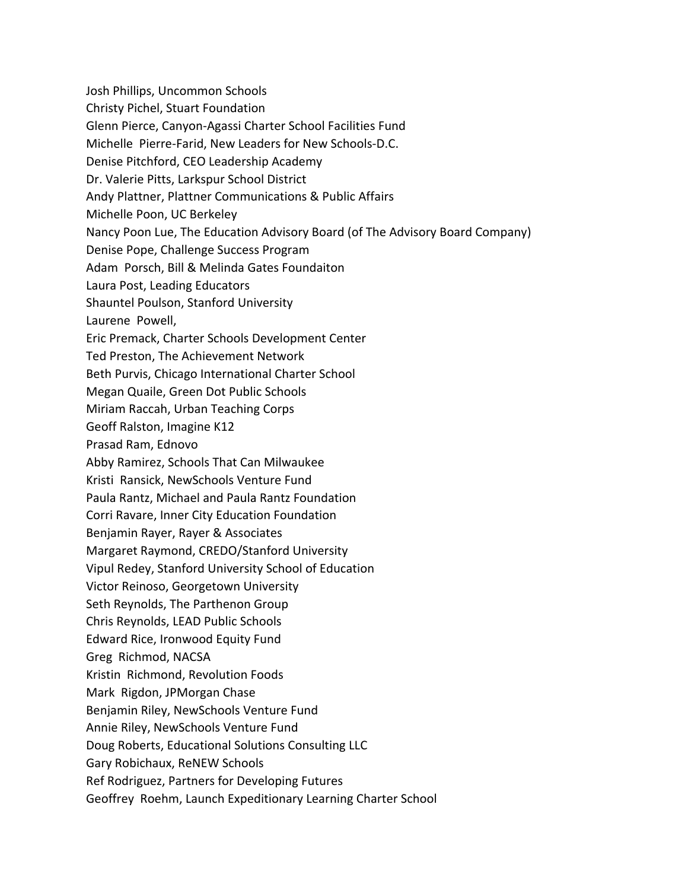Josh Phillips, Uncommon Schools

Christy Pichel, Stuart Foundation

Glenn Pierce, Canyon‐Agassi Charter School Facilities Fund

Michelle Pierre‐Farid, New Leaders for New Schools‐D.C.

Denise Pitchford, CEO Leadership Academy

Dr. Valerie Pitts, Larkspur School District

Andy Plattner, Plattner Communications & Public Affairs

Michelle Poon, UC Berkeley

Nancy Poon Lue, The Education Advisory Board (of The Advisory Board Company)

Denise Pope, Challenge Success Program

Adam Porsch, Bill & Melinda Gates Foundaiton

Laura Post, Leading Educators

Shauntel Poulson, Stanford University

Laurene Powell,

Eric Premack, Charter Schools Development Center

Ted Preston, The Achievement Network

Beth Purvis, Chicago International Charter School

Megan Quaile, Green Dot Public Schools

Miriam Raccah, Urban Teaching Corps

Geoff Ralston, Imagine K12

Prasad Ram, Ednovo

Abby Ramirez, Schools That Can Milwaukee

Kristi Ransick, NewSchools Venture Fund

Paula Rantz, Michael and Paula Rantz Foundation

Corri Ravare, Inner City Education Foundation

Benjamin Rayer, Rayer & Associates

Margaret Raymond, CREDO/Stanford University

Vipul Redey, Stanford University School of Education

Victor Reinoso, Georgetown University

Seth Reynolds, The Parthenon Group

Chris Reynolds, LEAD Public Schools

Edward Rice, Ironwood Equity Fund

Greg Richmod, NACSA

Kristin Richmond, Revolution Foods

Mark Rigdon, JPMorgan Chase

Benjamin Riley, NewSchools Venture Fund

Annie Riley, NewSchools Venture Fund

Doug Roberts, Educational Solutions Consulting LLC

Gary Robichaux, ReNEW Schools

Ref Rodriguez, Partners for Developing Futures

Geoffrey Roehm, Launch Expeditionary Learning Charter School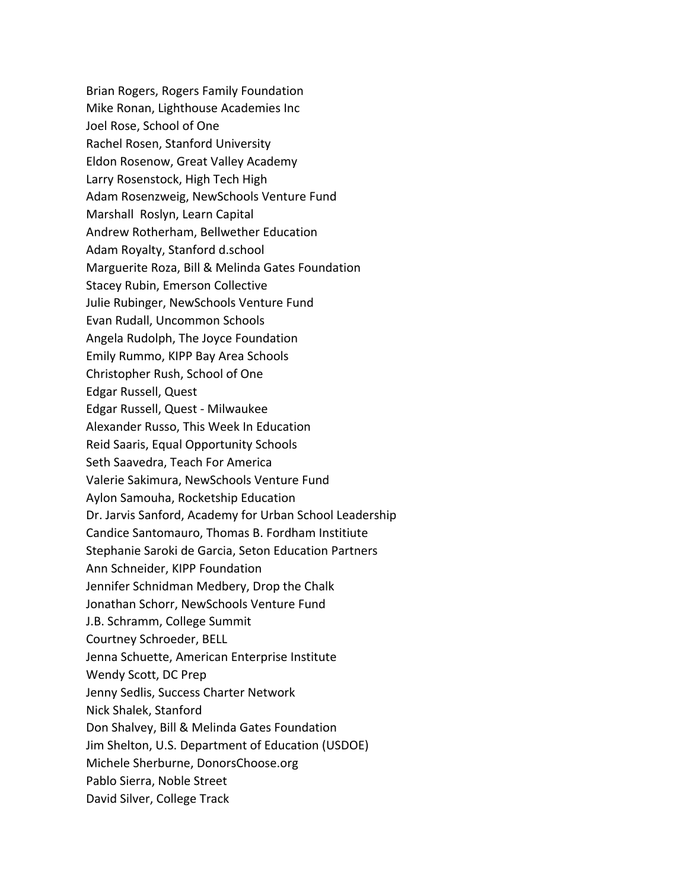Brian Rogers, Rogers Family Foundation Mike Ronan, Lighthouse Academies Inc Joel Rose, School of One Rachel Rosen, Stanford University Eldon Rosenow, Great Valley Academy Larry Rosenstock, High Tech High Adam Rosenzweig, NewSchools Venture Fund Marshall Roslyn, Learn Capital Andrew Rotherham, Bellwether Education Adam Royalty, Stanford d.school Marguerite Roza, Bill & Melinda Gates Foundation Stacey Rubin, Emerson Collective Julie Rubinger, NewSchools Venture Fund Evan Rudall, Uncommon Schools Angela Rudolph, The Joyce Foundation Emily Rummo, KIPP Bay Area Schools Christopher Rush, School of One Edgar Russell, Quest Edgar Russell, Quest ‐ Milwaukee Alexander Russo, This Week In Education Reid Saaris, Equal Opportunity Schools Seth Saavedra, Teach For America Valerie Sakimura, NewSchools Venture Fund Aylon Samouha, Rocketship Education Dr. Jarvis Sanford, Academy for Urban School Leadership Candice Santomauro, Thomas B. Fordham Institiute Stephanie Saroki de Garcia, Seton Education Partners Ann Schneider, KIPP Foundation Jennifer Schnidman Medbery, Drop the Chalk Jonathan Schorr, NewSchools Venture Fund J.B. Schramm, College Summit Courtney Schroeder, BELL Jenna Schuette, American Enterprise Institute Wendy Scott, DC Prep Jenny Sedlis, Success Charter Network Nick Shalek, Stanford Don Shalvey, Bill & Melinda Gates Foundation Jim Shelton, U.S. Department of Education (USDOE) Michele Sherburne, DonorsChoose.org Pablo Sierra, Noble Street David Silver, College Track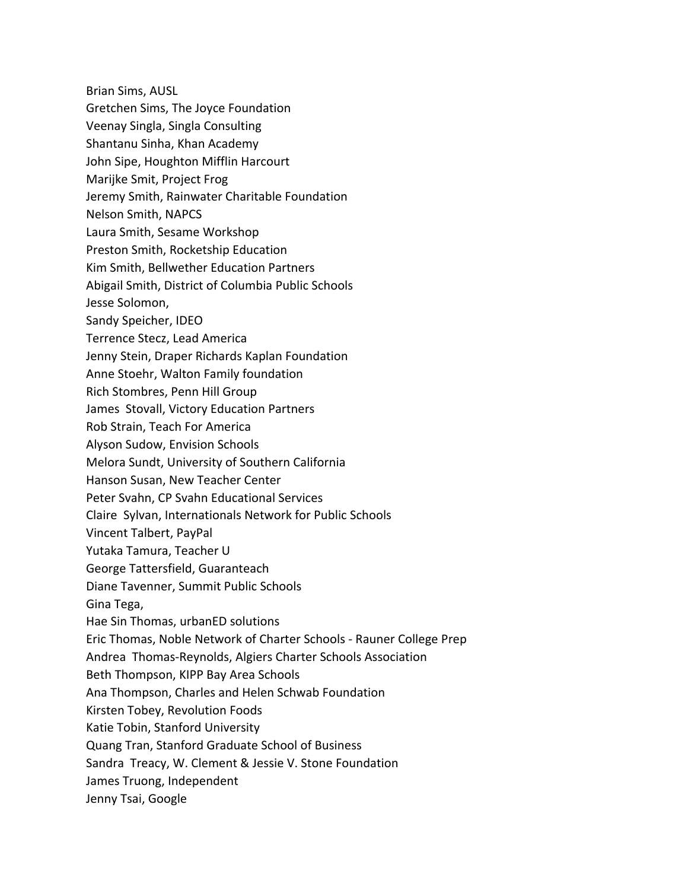- Brian Sims, AUSL
- Gretchen Sims, The Joyce Foundation
- Veenay Singla, Singla Consulting
- Shantanu Sinha, Khan Academy
- John Sipe, Houghton Mifflin Harcourt
- Marijke Smit, Project Frog
- Jeremy Smith, Rainwater Charitable Foundation
- Nelson Smith, NAPCS
- Laura Smith, Sesame Workshop
- Preston Smith, Rocketship Education
- Kim Smith, Bellwether Education Partners
- Abigail Smith, District of Columbia Public Schools
- Jesse Solomon,
- Sandy Speicher, IDEO
- Terrence Stecz, Lead America
- Jenny Stein, Draper Richards Kaplan Foundation
- Anne Stoehr, Walton Family foundation
- Rich Stombres, Penn Hill Group
- James Stovall, Victory Education Partners
- Rob Strain, Teach For America
- Alyson Sudow, Envision Schools
- Melora Sundt, University of Southern California
- Hanson Susan, New Teacher Center
- Peter Svahn, CP Svahn Educational Services
- Claire Sylvan, Internationals Network for Public Schools
- Vincent Talbert, PayPal
- Yutaka Tamura, Teacher U
- George Tattersfield, Guaranteach
- Diane Tavenner, Summit Public Schools
- Gina Tega,
- Hae Sin Thomas, urbanED solutions
- Eric Thomas, Noble Network of Charter Schools ‐ Rauner College Prep
- Andrea Thomas‐Reynolds, Algiers Charter Schools Association
- Beth Thompson, KIPP Bay Area Schools
- Ana Thompson, Charles and Helen Schwab Foundation
- Kirsten Tobey, Revolution Foods
- Katie Tobin, Stanford University
- Quang Tran, Stanford Graduate School of Business
- Sandra Treacy, W. Clement & Jessie V. Stone Foundation
- James Truong, Independent
- Jenny Tsai, Google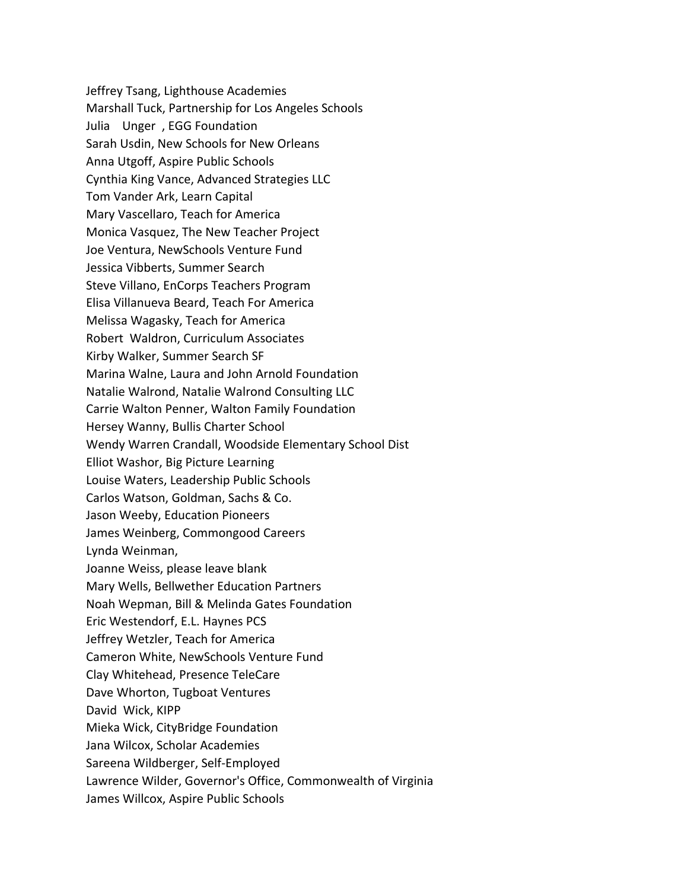Jeffrey Tsang, Lighthouse Academies Marshall Tuck, Partnership for Los Angeles Schools Julia Unger , EGG Foundation Sarah Usdin, New Schools for New Orleans Anna Utgoff, Aspire Public Schools Cynthia King Vance, Advanced Strategies LLC Tom Vander Ark, Learn Capital Mary Vascellaro, Teach for America Monica Vasquez, The New Teacher Project Joe Ventura, NewSchools Venture Fund Jessica Vibberts, Summer Search Steve Villano, EnCorps Teachers Program Elisa Villanueva Beard, Teach For America Melissa Wagasky, Teach for America Robert Waldron, Curriculum Associates Kirby Walker, Summer Search SF Marina Walne, Laura and John Arnold Foundation Natalie Walrond, Natalie Walrond Consulting LLC Carrie Walton Penner, Walton Family Foundation Hersey Wanny, Bullis Charter School Wendy Warren Crandall, Woodside Elementary School Dist Elliot Washor, Big Picture Learning Louise Waters, Leadership Public Schools Carlos Watson, Goldman, Sachs & Co. Jason Weeby, Education Pioneers James Weinberg, Commongood Careers Lynda Weinman, Joanne Weiss, please leave blank Mary Wells, Bellwether Education Partners Noah Wepman, Bill & Melinda Gates Foundation Eric Westendorf, E.L. Haynes PCS Jeffrey Wetzler, Teach for America Cameron White, NewSchools Venture Fund Clay Whitehead, Presence TeleCare Dave Whorton, Tugboat Ventures David Wick, KIPP Mieka Wick, CityBridge Foundation Jana Wilcox, Scholar Academies Sareena Wildberger, Self‐Employed Lawrence Wilder, Governor's Office, Commonwealth of Virginia James Willcox, Aspire Public Schools